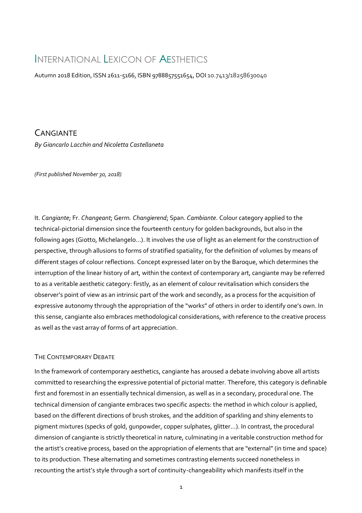# INTERNATIONAL LEXICON OF AESTHETICS

Autumn 2018 Edition, ISSN 2611-5166, ISBN 9788857551654, DOI 10.7413/18258630040

**CANGIANTE** *By Giancarlo Lacchin and Nicoletta Castellaneta*

*(First published November 30, 2018)*

It. *Cangiante*; Fr. *Changeant*; Germ*. Changierend*; Span. *Cambiante*. Colour category applied to the technical-pictorial dimension since the fourteenth century for golden backgrounds, but also in the following ages (Giotto, Michelangelo…). It involves the use of light as an element for the construction of perspective, through allusions to forms of stratified spatiality, for the definition of volumes by means of different stages of colour reflections. Concept expressed later on by the Baroque, which determines the interruption of the linear history of art, within the context of contemporary art, cangiante may be referred to as a veritable aesthetic category: firstly, as an element of colour revitalisation which considers the observer's point of view as an intrinsic part of the work and secondly, as a process for the acquisition of expressive autonomy through the appropriation of the "works" of others in order to identify one's own. In this sense, cangiante also embraces methodological considerations, with reference to the creative process as well as the vast array of forms of art appreciation.

# THE CONTEMPORARY DEBATE

In the framework of contemporary aesthetics, cangiante has aroused a debate involving above all artists committed to researching the expressive potential of pictorial matter. Therefore, this category is definable first and foremost in an essentially technical dimension, as well as in a secondary, procedural one. The technical dimension of cangiante embraces two specific aspects: the method in which colour is applied, based on the different directions of brush strokes, and the addition of sparkling and shiny elements to pigment mixtures (specks of gold, gunpowder, copper sulphates, glitter...). In contrast, the procedural dimension of cangiante is strictly theoretical in nature, culminating in a veritable construction method for the artist's creative process, based on the appropriation of elements that are "external" (in time and space) to its production. These alternating and sometimes contrasting elements succeed nonetheless in recounting the artist's style through a sort of continuity-changeability which manifests itself in the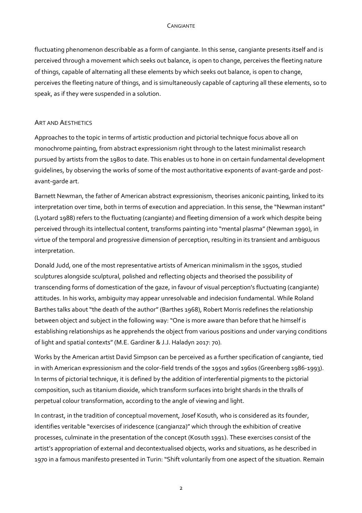## CANGIANTE

fluctuating phenomenon describable as a form of cangiante. In this sense, cangiante presents itself and is perceived through a movement which seeks out balance, is open to change, perceives the fleeting nature of things, capable of alternating all these elements by which seeks out balance, is open to change, perceives the fleeting nature of things, and is simultaneously capable of capturing all these elements, so to speak, as if they were suspended in a solution.

### ART AND AESTHETICS

Approaches to the topic in terms of artistic production and pictorial technique focus above all on monochrome painting, from abstract expressionism right through to the latest minimalist research pursued by artists from the 1980s to date. This enables us to hone in on certain fundamental development guidelines, by observing the works of some of the most authoritative exponents of avant-garde and postavant-garde art.

Barnett Newman, the father of American abstract expressionism, theorises aniconic painting, linked to its interpretation over time, both in terms of execution and appreciation. In this sense, the "Newman instant" (Lyotard 1988) refers to the fluctuating (cangiante) and fleeting dimension of a work which despite being perceived through its intellectual content, transforms painting into "mental plasma" (Newman 1990), in virtue of the temporal and progressive dimension of perception, resulting in its transient and ambiguous interpretation.

Donald Judd, one of the most representative artists of American minimalism in the 1950s, studied sculptures alongside sculptural, polished and reflecting objects and theorised the possibility of transcending forms of domestication of the gaze, in favour of visual perception's fluctuating (cangiante) attitudes. In his works, ambiguity may appear unresolvable and indecision fundamental. While Roland Barthes talks about "the death of the author" (Barthes 1968), Robert Morris redefines the relationship between object and subject in the following way: "One is more aware than before that he himself is establishing relationships as he apprehends the object from various positions and under varying conditions of light and spatial contexts" (M.E. Gardiner & J.J. Haladyn 2017: 70).

Works by the American artist David Simpson can be perceived as a further specification of cangiante, tied in with American expressionism and the color-field trends of the 1950s and 1960s (Greenberg 1986-1993). In terms of pictorial technique, it is defined by the addition of interferential pigments to the pictorial composition, such as titanium dioxide, which transform surfaces into bright shards in the thralls of perpetual colour transformation, according to the angle of viewing and light.

In contrast, in the tradition of conceptual movement, Josef Kosuth, who is considered as its founder, identifies veritable "exercises of iridescence (cangianza)" which through the exhibition of creative processes, culminate in the presentation of the concept (Kosuth 1991). These exercises consist of the artist's appropriation of external and decontextualised objects, works and situations, as he described in 1970 in a famous manifesto presented in Turin: "Shift voluntarily from one aspect of the situation. Remain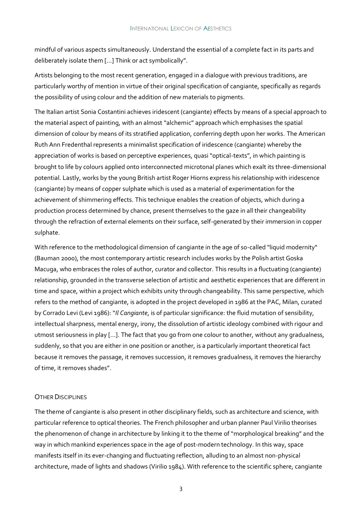mindful of various aspects simultaneously. Understand the essential of a complete fact in its parts and deliberately isolate them […] Think or act symbolically".

Artists belonging to the most recent generation, engaged in a dialogue with previous traditions, are particularly worthy of mention in virtue of their original specification of cangiante, specifically as regards the possibility of using colour and the addition of new materials to pigments.

The Italian artist Sonia Costantini achieves iridescent (cangiante) effects by means of a special approach to the material aspect of painting, with an almost "alchemic" approach which emphasises the spatial dimension of colour by means of its stratified application, conferring depth upon her works. The American Ruth Ann Fredenthal represents a minimalist specification of iridescence (cangiante) whereby the appreciation of works is based on perceptive experiences, quasi "optical-texts", in which painting is brought to life by colours applied onto interconnected microtonal planes which exalt its three-dimensional potential. Lastly, works by the young British artist Roger Hiorns express his relationship with iridescence (cangiante) by means of copper sulphate which is used as a material of experimentation for the achievement of shimmering effects. This technique enables the creation of objects, which during a production process determined by chance, present themselves to the gaze in all their changeability through the refraction of external elements on their surface, self-generated by their immersion in copper sulphate.

With reference to the methodological dimension of cangiante in the age of so-called "liquid modernity" (Bauman 2000), the most contemporary artistic research includes works by the Polish artist Goska Macuga, who embraces the roles of author, curator and collector. This results in a fluctuating (cangiante) relationship, grounded in the transverse selection of artistic and aesthetic experiences that are different in time and space, within a project which exhibits unity through changeability. This same perspective, which refers to the method of cangiante, is adopted in the project developed in 1986 at the PAC, Milan, curated by Corrado Levi (Levi 1986): "*Il Cangiante*, is of particular significance: the fluid mutation of sensibility, intellectual sharpness, mental energy, irony, the dissolution of artistic ideology combined with rigour and utmost seriousness in play […]. The fact that you go from one colour to another, without any gradualness, suddenly, so that you are either in one position or another, is a particularly important theoretical fact because it removes the passage, it removes succession, it removes gradualness, it removes the hierarchy of time, it removes shades".

# OTHER DISCIPLINES

The theme of cangiante is also present in other disciplinary fields, such as architecture and science, with particular reference to optical theories. The French philosopher and urban planner Paul Virilio theorises the phenomenon of change in architecture by linking it to the theme of "morphological breaking" and the way in which mankind experiences space in the age of post-modern technology. In this way, space manifests itself in its ever-changing and fluctuating reflection, alluding to an almost non-physical architecture, made of lights and shadows (Virilio 1984). With reference to the scientific sphere, cangiante

3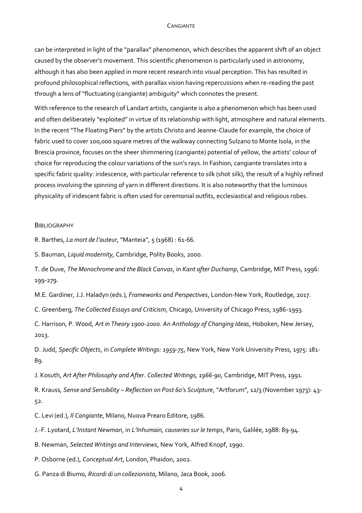#### CANGIANTE

can be interpreted in light of the "parallax" phenomenon, which describes the apparent shift of an object caused by the observer's movement. This scientific phenomenon is particularly used in astronomy, although it has also been applied in more recent research into visual perception. This has resulted in profound philosophical reflections, with parallax vision having repercussions when re-reading the past through a lens of "fluctuating (cangiante) ambiguity" which connotes the present.

With reference to the research of Landart artists, cangiante is also a phenomenon which has been used and often deliberately "exploited" in virtue of its relationship with light, atmosphere and natural elements. In the recent "The Floating Piers" by the artists Christo and Jeanne-Claude for example, the choice of fabric used to cover 100,000 square metres of the walkway connecting Sulzano to Monte Isola, in the Brescia province, focuses on the sheer shimmering (cangiante) potential of yellow, the artists' colour of choice for reproducing the colour variations of the sun's rays. In Fashion, cangiante translates into a specific fabric quality: iridescence, with particular reference to silk (shot silk), the result of a highly refined process involving the spinning of yarn in different directions. It is also noteworthy that the luminous physicality of iridescent fabric is often used for ceremonial outfits, ecclesiastical and religious robes.

#### **BIBLIOGRAPHY**

R. Barthes, *La mort de l'auteur*, "Manteia", 5 (1968) : 61-66.

S. Bauman, *Liquid modernity*, Cambridge, Polity Books, 2000.

T. de Duve, *The Monochrome and the Black Canvas*, in *Kant after Duchamp*, Cambridge, MIT Press, 1996: 199-279.

M.E. Gardiner, J.J. Haladyn (eds.), *Frameworks and Perspectives*, London-New York, Routledge, 2017.

C. Greenberg, *The Collected Essays and Criticism*, Chicago, University of Chicago Press, 1986-1993.

C. Harrison, P. Wood, *Art in Theory 1900-2000. An Anthology of Changing Ideas*, Hoboken, New Jersey, 2013.

D. Judd, *Specific Objects*, in *Complete Writings: 1959-75*, New York, New York University Press, 1975: 181- 89.

J. Kosuth, *Art After Philosophy and After*. *Collected Writings, 1966-90*, Cambridge, MIT Press, 1991.

R. Krauss, *Sense and Sensibility – Reflection on Post 60's Sculpture*, "Artforum", 12/3 (November 1973): 43- 52.

C. Levi (ed.), *Il Cangiante*, Milano, Nuova Prearo Editore, 1986.

J.-F. Lyotard, *L'Instant Newman*, in *L'Inhumain, causeries sur le temps*, Paris, Galilée, 1988: 89-94.

B. Newman, *Selected Writings and Interviews*, New York, Alfred Knopf, 1990.

P. Osborne (ed.), *Conceptual Art*, London, Phaidon, 2002.

G. Panza di Biumo, *Ricordi di un collezionista*, Milano, Jaca Book, 2006.